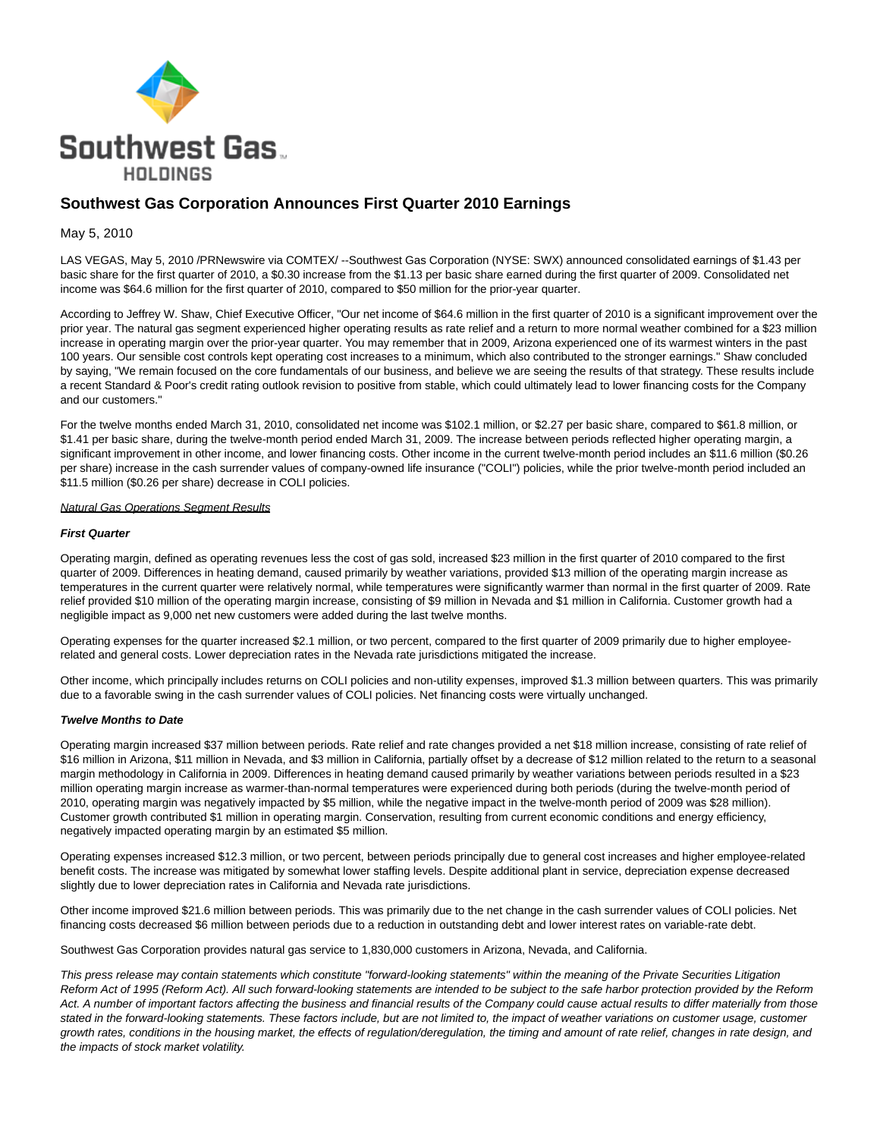

# **Southwest Gas Corporation Announces First Quarter 2010 Earnings**

## May 5, 2010

LAS VEGAS, May 5, 2010 /PRNewswire via COMTEX/ --Southwest Gas Corporation (NYSE: SWX) announced consolidated earnings of \$1.43 per basic share for the first quarter of 2010, a \$0.30 increase from the \$1.13 per basic share earned during the first quarter of 2009. Consolidated net income was \$64.6 million for the first quarter of 2010, compared to \$50 million for the prior-year quarter.

According to Jeffrey W. Shaw, Chief Executive Officer, "Our net income of \$64.6 million in the first quarter of 2010 is a significant improvement over the prior year. The natural gas segment experienced higher operating results as rate relief and a return to more normal weather combined for a \$23 million increase in operating margin over the prior-year quarter. You may remember that in 2009, Arizona experienced one of its warmest winters in the past 100 years. Our sensible cost controls kept operating cost increases to a minimum, which also contributed to the stronger earnings." Shaw concluded by saying, "We remain focused on the core fundamentals of our business, and believe we are seeing the results of that strategy. These results include a recent Standard & Poor's credit rating outlook revision to positive from stable, which could ultimately lead to lower financing costs for the Company and our customers."

For the twelve months ended March 31, 2010, consolidated net income was \$102.1 million, or \$2.27 per basic share, compared to \$61.8 million, or \$1.41 per basic share, during the twelve-month period ended March 31, 2009. The increase between periods reflected higher operating margin, a significant improvement in other income, and lower financing costs. Other income in the current twelve-month period includes an \$11.6 million (\$0.26 per share) increase in the cash surrender values of company-owned life insurance ("COLI") policies, while the prior twelve-month period included an \$11.5 million (\$0.26 per share) decrease in COLI policies.

### Natural Gas Operations Segment Results

#### **First Quarter**

Operating margin, defined as operating revenues less the cost of gas sold, increased \$23 million in the first quarter of 2010 compared to the first quarter of 2009. Differences in heating demand, caused primarily by weather variations, provided \$13 million of the operating margin increase as temperatures in the current quarter were relatively normal, while temperatures were significantly warmer than normal in the first quarter of 2009. Rate relief provided \$10 million of the operating margin increase, consisting of \$9 million in Nevada and \$1 million in California. Customer growth had a negligible impact as 9,000 net new customers were added during the last twelve months.

Operating expenses for the quarter increased \$2.1 million, or two percent, compared to the first quarter of 2009 primarily due to higher employeerelated and general costs. Lower depreciation rates in the Nevada rate jurisdictions mitigated the increase.

Other income, which principally includes returns on COLI policies and non-utility expenses, improved \$1.3 million between quarters. This was primarily due to a favorable swing in the cash surrender values of COLI policies. Net financing costs were virtually unchanged.

### **Twelve Months to Date**

Operating margin increased \$37 million between periods. Rate relief and rate changes provided a net \$18 million increase, consisting of rate relief of \$16 million in Arizona, \$11 million in Nevada, and \$3 million in California, partially offset by a decrease of \$12 million related to the return to a seasonal margin methodology in California in 2009. Differences in heating demand caused primarily by weather variations between periods resulted in a \$23 million operating margin increase as warmer-than-normal temperatures were experienced during both periods (during the twelve-month period of 2010, operating margin was negatively impacted by \$5 million, while the negative impact in the twelve-month period of 2009 was \$28 million). Customer growth contributed \$1 million in operating margin. Conservation, resulting from current economic conditions and energy efficiency, negatively impacted operating margin by an estimated \$5 million.

Operating expenses increased \$12.3 million, or two percent, between periods principally due to general cost increases and higher employee-related benefit costs. The increase was mitigated by somewhat lower staffing levels. Despite additional plant in service, depreciation expense decreased slightly due to lower depreciation rates in California and Nevada rate jurisdictions.

Other income improved \$21.6 million between periods. This was primarily due to the net change in the cash surrender values of COLI policies. Net financing costs decreased \$6 million between periods due to a reduction in outstanding debt and lower interest rates on variable-rate debt.

Southwest Gas Corporation provides natural gas service to 1,830,000 customers in Arizona, Nevada, and California.

This press release may contain statements which constitute "forward-looking statements" within the meaning of the Private Securities Litigation Reform Act of 1995 (Reform Act). All such forward-looking statements are intended to be subject to the safe harbor protection provided by the Reform Act. A number of important factors affecting the business and financial results of the Company could cause actual results to differ materially from those stated in the forward-looking statements. These factors include, but are not limited to, the impact of weather variations on customer usage, customer growth rates, conditions in the housing market, the effects of regulation/deregulation, the timing and amount of rate relief, changes in rate design, and the impacts of stock market volatility.